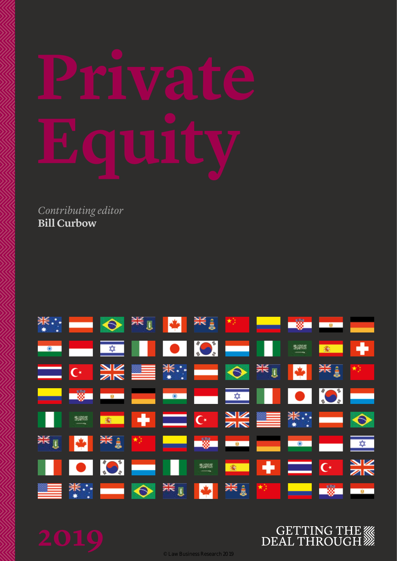*Contributing editor* **Bill Curbow**



## 

© Law Business Research 2019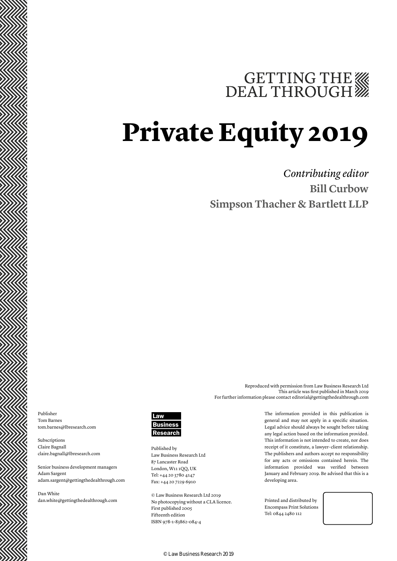# GETTING THE WE DEAL THROUGH

## **Private Equity 2019**

*Contributing editor* **Bill Curbow Simpson Thacher & Bartlett LLP**

Publisher Tom Barnes tom.barnes@lbresearch.com

Subscriptions Claire Bagnall claire.bagnall@lbresearch.com

Senior business development managers Adam Sargent adam.sargent@gettingthedealthrough.com

Dan White dan.white@gettingthedealthrough.com



Published by Law Business Research Ltd 87 Lancaster Road London, W11 1QQ, UK Tel: +44 20 3780 4147 Fax: +44 20 7229 6910

© Law Business Research Ltd 2019 No photocopying without a CLA licence. First published 2005 Fifteenth edition ISBN 978-1-83862-084-4

The information provided in this publication is general and may not apply in a specific situation. Legal advice should always be sought before taking any legal action based on the information provided. This information is not intended to create, nor does receipt of it constitute, a lawyer–client relationship. The publishers and authors accept no responsibility for any acts or omissions contained herein. The information provided was verified between January and February 2019. Be advised that this is a developing area.

Reproduced with permission from Law Business Research Ltd

For further information please contact editorial@gettingthedealthrough.com

This article was first published in March 2019

Printed and distributed by Encompass Print Solutions Tel: 0844 2480 112



© Law Business Research 2019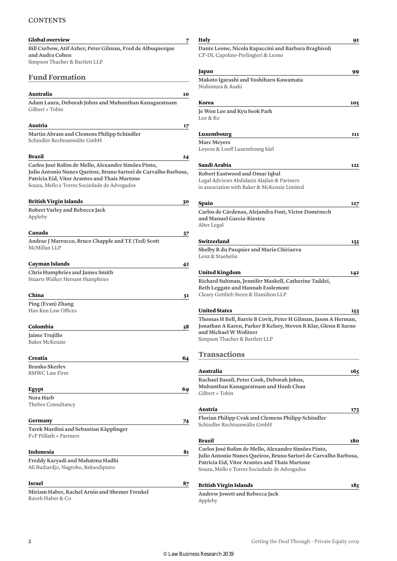#### **CONTENTS**

| <b>Global overview</b>                                                                                                 | 7  | Italy                                  |
|------------------------------------------------------------------------------------------------------------------------|----|----------------------------------------|
| Bill Curbow, Atif Azher, Peter Gilman, Fred de Albuquerque                                                             |    | Dante Leone,                           |
| and Audra Cohen                                                                                                        |    | CP-DL Capolir                          |
| Simpson Thacher & Bartlett LLP                                                                                         |    |                                        |
| <b>Fund Formation</b>                                                                                                  |    | Japan                                  |
|                                                                                                                        |    | <b>Makoto Igaras</b><br>Nishimura & A  |
| Australia                                                                                                              | 10 |                                        |
| Adam Laura, Deborah Johns and Muhunthan Kanagaratnam                                                                   |    | Korea                                  |
| Gilbert + Tobin                                                                                                        |    | Je Won Lee an                          |
|                                                                                                                        |    | Lee & Ko                               |
| Austria                                                                                                                | 17 |                                        |
| Martin Abram and Clemens Philipp Schindler                                                                             |    | Luxembourg                             |
| Schindler Rechtsanwälte GmbH                                                                                           |    | <b>Marc Meyers</b>                     |
|                                                                                                                        |    | Loyens & Loef                          |
| Brazil                                                                                                                 | 24 |                                        |
| Carlos José Rolim de Mello, Alexandre Simões Pinto,<br>Julio Antonio Nunes Queiroz, Bruno Sartori de Carvalho Barbosa, |    | Saudi Arabia                           |
| Patricia Eid, Vitor Arantes and Thais Martone                                                                          |    | <b>Robert Eastwo</b><br>Legal Advisors |
| Souza, Mello e Torres Sociedade de Advogados                                                                           |    | in association y                       |
|                                                                                                                        |    |                                        |
| <b>British Virgin Islands</b>                                                                                          | 30 | Spain                                  |
| Robert Varley and Rebecca Jack                                                                                         |    | Carlos de Cár                          |
| Appleby                                                                                                                |    | and Manuel G                           |
| Canada                                                                                                                 |    | Alter Legal                            |
| Andrae J Marrocco, Bruce Chapple and TE (Ted) Scott                                                                    | 37 | Switzerland                            |
| McMillan LLP                                                                                                           |    | <b>Shelby R du Pa</b>                  |
|                                                                                                                        |    | Lenz & Staehel                         |
| Cayman Islands                                                                                                         | 42 |                                        |
| <b>Chris Humphries and James Smith</b>                                                                                 |    | <b>United Kingd</b>                    |
| Stuarts Walker Hersant Humphries                                                                                       |    | <b>Richard Sultn</b>                   |
|                                                                                                                        |    | Beth Leggate:                          |
| China                                                                                                                  | 51 | Cleary Gottliel                        |
| Ping (Evan) Zhang                                                                                                      |    |                                        |
| Han Kun Law Offices                                                                                                    |    | <b>United States</b>                   |
| Colombia                                                                                                               | 58 | Thomas H Bel<br>Jonathan A Ka          |
| Jaime Trujillo                                                                                                         |    | and Michael V                          |
| Baker McKenzie                                                                                                         |    | Simpson Thack                          |
|                                                                                                                        |    |                                        |
| Croatia                                                                                                                | 64 | <b>Transacti</b>                       |
| <b>Branko Skerlev</b>                                                                                                  |    |                                        |
| <b>BMWC Law Firm</b>                                                                                                   |    | Australia<br><b>Rachael Bassi</b>      |
|                                                                                                                        |    | Muhunthan K                            |
| Egypt                                                                                                                  | 69 | Gilbert + Tobir                        |
| Nora Harb<br>Thebes Consultancy                                                                                        |    |                                        |
|                                                                                                                        |    | Austria                                |
| Germany                                                                                                                | 74 | <b>Florian Philip</b>                  |
| Tarek Mardini and Sebastian Käpplinger                                                                                 |    | Schindler Rech                         |
| P+P Pöllath + Partners                                                                                                 |    |                                        |
|                                                                                                                        |    | <b>Brazil</b>                          |
| Indonesia                                                                                                              | 81 | Carlos José Ro<br>Julio Antonio        |
| Freddy Karyadi and Mahatma Hadhi                                                                                       |    | Patricia Eid, V                        |
| Ali Budiardjo, Nugroho, Reksodiputro                                                                                   |    | Souza, Mello e                         |
| <b>Israel</b>                                                                                                          |    |                                        |
|                                                                                                                        | 87 | <b>British Virgin</b>                  |
| Miriam Haber, Rachel Arnin and Shemer Frenkel<br>Raveh Haber & Co                                                      |    | <b>Andrew Jowet</b>                    |
|                                                                                                                        |    | Appleby                                |

### **Italy 92 Dante Leone, Nicola Rapaccini and Barbara Braghiroli** no-Perlingieri & Leone **Japan 99 Makoto Igarashi and Yoshiharu Kawamata** kahi **Korea 105 Je Won Lee and Kyu Seok Park Luxembourg 111** f Luxembourg Sàrl **Saudi Arabia 122 Road and Omar Iqbal** Abdulaziz Alajlan & Partners with Baker & McKenzie Limited **Spain 127 Carlos de Cárdenas, Alejandra Font, Víctor Doménech and Manuel García-Riestra Switzerland 135 Shelby R du Pasquier and Maria Chiriaeva** lin **United Kingdom 142 Richard Sultman, Jennifer Maskell, Catherine Taddeï, Beth Leggate and Hannah Esslemont** b Steen & Hamilton LLP **United States 153** Il, Barrie B Covit, Peter H Gilman, Jason A Herman, **Jonathan A Karen, Parker B Kelsey, Steven R Klar, Glenn R Sarno and Michael W Wolitzer** her & Bartlett LLP **ons Australia 165 Rachael Bassil, Peter Cook, Deborah Johns, Muhunthan Kanagaratnam and Hanh Chau** Gilbert + Tobin **Austria 173 Florian Philipp Cvak and Clemens Philipp Schindler** tsanwälte GmbH **Brazil 180 Carlos José Rolim de Mello, Alexandre Simões Pinto, Julio Antonio Nunes Queiroz, Bruno Sartori de Carvalho Barbosa, Pitor Arantes and Thais Martone** Torres Sociedade de Advogados **British Virgin Islands 185**

**Andrew Jowett and Rebecca Jack**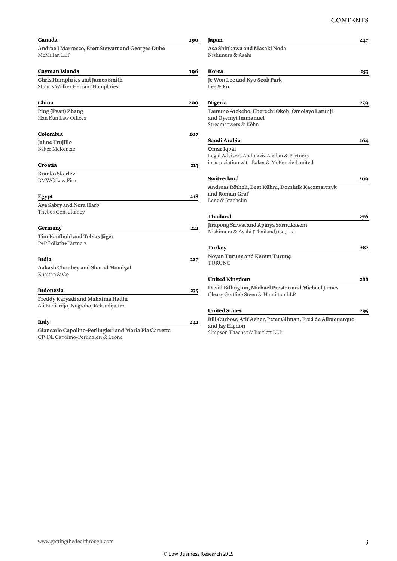| Andrae J Marrocco, Brett Stewart and Georges Dubé<br>McMillan LLP<br>Cayman Islands<br><b>Chris Humphries and James Smith</b><br>Stuarts Walker Hersant Humphries<br>China<br>Ping (Evan) Zhang<br>Han Kun Law Offices<br>Colombia<br>Jaime Trujillo<br>Baker McKenzie<br>Croatia<br><b>Branko Skerlev</b><br><b>BMWC Law Firm</b><br>Egypt<br>Aya Sabry and Nora Harb<br>Thebes Consultancy<br>Germany<br>Tim Kaufhold and Tobias Jäger<br>P+P Pöllath+Partners<br>India<br>Aakash Choubey and Sharad Moudgal<br>Khaitan & Co<br><b>Indonesia</b><br>Freddy Karyadi and Mahatma Hadhi | 190 |
|----------------------------------------------------------------------------------------------------------------------------------------------------------------------------------------------------------------------------------------------------------------------------------------------------------------------------------------------------------------------------------------------------------------------------------------------------------------------------------------------------------------------------------------------------------------------------------------|-----|
|                                                                                                                                                                                                                                                                                                                                                                                                                                                                                                                                                                                        |     |
|                                                                                                                                                                                                                                                                                                                                                                                                                                                                                                                                                                                        |     |
|                                                                                                                                                                                                                                                                                                                                                                                                                                                                                                                                                                                        | 196 |
|                                                                                                                                                                                                                                                                                                                                                                                                                                                                                                                                                                                        |     |
|                                                                                                                                                                                                                                                                                                                                                                                                                                                                                                                                                                                        |     |
|                                                                                                                                                                                                                                                                                                                                                                                                                                                                                                                                                                                        | 200 |
|                                                                                                                                                                                                                                                                                                                                                                                                                                                                                                                                                                                        |     |
|                                                                                                                                                                                                                                                                                                                                                                                                                                                                                                                                                                                        |     |
|                                                                                                                                                                                                                                                                                                                                                                                                                                                                                                                                                                                        | 207 |
|                                                                                                                                                                                                                                                                                                                                                                                                                                                                                                                                                                                        |     |
|                                                                                                                                                                                                                                                                                                                                                                                                                                                                                                                                                                                        |     |
|                                                                                                                                                                                                                                                                                                                                                                                                                                                                                                                                                                                        | 213 |
|                                                                                                                                                                                                                                                                                                                                                                                                                                                                                                                                                                                        |     |
|                                                                                                                                                                                                                                                                                                                                                                                                                                                                                                                                                                                        |     |
|                                                                                                                                                                                                                                                                                                                                                                                                                                                                                                                                                                                        | 218 |
|                                                                                                                                                                                                                                                                                                                                                                                                                                                                                                                                                                                        |     |
|                                                                                                                                                                                                                                                                                                                                                                                                                                                                                                                                                                                        |     |
|                                                                                                                                                                                                                                                                                                                                                                                                                                                                                                                                                                                        | 221 |
|                                                                                                                                                                                                                                                                                                                                                                                                                                                                                                                                                                                        |     |
|                                                                                                                                                                                                                                                                                                                                                                                                                                                                                                                                                                                        |     |
|                                                                                                                                                                                                                                                                                                                                                                                                                                                                                                                                                                                        | 227 |
|                                                                                                                                                                                                                                                                                                                                                                                                                                                                                                                                                                                        |     |
|                                                                                                                                                                                                                                                                                                                                                                                                                                                                                                                                                                                        |     |
|                                                                                                                                                                                                                                                                                                                                                                                                                                                                                                                                                                                        | 235 |
|                                                                                                                                                                                                                                                                                                                                                                                                                                                                                                                                                                                        |     |
| Ali Budiardjo, Nugroho, Reksodiputro                                                                                                                                                                                                                                                                                                                                                                                                                                                                                                                                                   |     |
| Italy                                                                                                                                                                                                                                                                                                                                                                                                                                                                                                                                                                                  | 241 |
| Giancarlo Capolino-Perlingieri and Maria Pia Carretta<br>CP-DL Capolino-Perlingieri & Leone                                                                                                                                                                                                                                                                                                                                                                                                                                                                                            |     |

| Japan                                                      | 247 |
|------------------------------------------------------------|-----|
| Asa Shinkawa and Masaki Noda<br>Nishimura & Asahi          |     |
|                                                            |     |
| Korea                                                      | 253 |
| Je Won Lee and Kyu Seok Park                               |     |
| Lee & Ko                                                   |     |
| Nigeria                                                    | 259 |
| Tamuno Atekebo, Eberechi Okoh, Omolayo Latunji             |     |
| and Oyeniyi Immanuel                                       |     |
| Streamsowers & Köhn                                        |     |
| Saudi Arabia                                               | 264 |
| Omar Iqbal                                                 |     |
| Legal Advisors Abdulaziz Alajlan & Partners                |     |
| in association with Baker & McKenzie Limited               |     |
| Switzerland                                                | 269 |
| Andreas Rötheli, Beat Kühni, Dominik Kaczmarczyk           |     |
| and Roman Graf                                             |     |
| Lenz & Staehelin                                           |     |
| Thailand                                                   | 276 |
| Jirapong Sriwat and Apinya Sarntikasem                     |     |
| Nishimura & Asahi (Thailand) Co, Ltd                       |     |
| Turkey                                                     | 282 |
| Noyan Turunç and Kerem Turunç                              |     |
| <b>TURUNC</b>                                              |     |
| <b>United Kingdom</b>                                      | 288 |
| David Billington, Michael Preston and Michael James        |     |
| Cleary Gottlieb Steen & Hamilton LLP                       |     |
| <b>United States</b>                                       | 295 |
| Bill Curbow, Atif Azher, Peter Gilman, Fred de Albuquerque |     |
| and Jay Higdon                                             |     |

Simpson Thacher & Bartlett LLP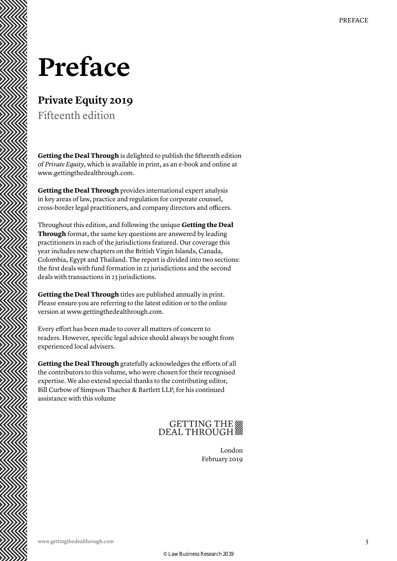## **Preface**

### **Private Equity 2019**

Fifteenth edition

**Getting the Deal Through** is delighted to publish the fifteenth edition of *Private Equity*, which is available in print, as an e-book and online at www.gettingthedealthrough.com.

**Getting the Deal Through** provides international expert analysis in key areas of law, practice and regulation for corporate counsel, cross-border legal practitioners, and company directors and officers.

Throughout this edition, and following the unique **Getting the Deal Through** format, the same key questions are answered by leading practitioners in each of the jurisdictions featured. Our coverage this year includes new chapters on the British Virgin Islands, Canada, Colombia, Egypt and Thailand. The report is divided into two sections: the first deals with fund formation in 22 jurisdictions and the second deals with transactions in 23 jurisdictions.

**Getting the Deal Through** titles are published annually in print. Please ensure you are referring to the latest edition or to the online version at www.gettingthedealthrough.com.

Every effort has been made to cover all matters of concern to readers. However, specific legal advice should always be sought from experienced local advisers.

**Getting the Deal Through** gratefully acknowledges the efforts of all the contributors to this volume, who were chosen for their recognised expertise. We also extend special thanks to the contributing editor, Bill Curbow of Simpson Thacher & Bartlett LLP, for his continued assistance with this volume

### GETTING THE

London February 2019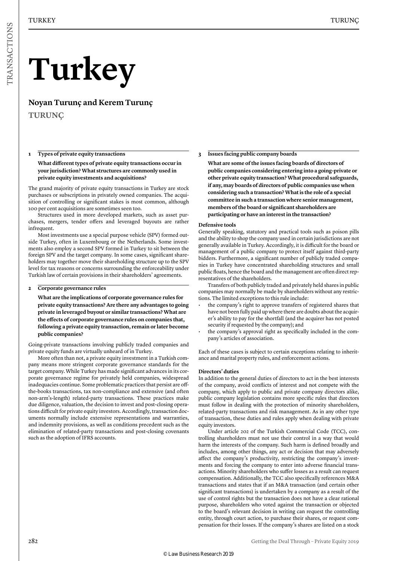# **Turkey**

**Noyan Turunç and Kerem Turunç TURUNÇ**

#### **1 Types of private equity transactions**

**What different types of private equity transactions occur in your jurisdiction? What structures are commonly used in private equity investments and acquisitions?**

The grand majority of private equity transactions in Turkey are stock purchases or subscriptions in privately owned companies. The acquisition of controlling or significant stakes is most common, although 100 per cent acquisitions are sometimes seen too.

Structures used in more developed markets, such as asset purchases, mergers, tender offers and leveraged buyouts are rather infrequent.

Most investments use a special purpose vehicle (SPV) formed outside Turkey, often in Luxembourg or the Netherlands. Some investments also employ a second SPV formed in Turkey to sit between the foreign SPV and the target company. In some cases, significant shareholders may together move their shareholding structure up to the SPV level for tax reasons or concerns surrounding the enforceability under Turkish law of certain provisions in their shareholders' agreements.

#### **2 Corporate governance rules**

**What are the implications of corporate governance rules for private equity transactions? Are there any advantages to going private in leveraged buyout or similar transactions? What are the effects of corporate governance rules on companies that, following a private equity transaction, remain or later become public companies?**

Going-private transactions involving publicly traded companies and private equity funds are virtually unheard of in Turkey.

More often than not, a private equity investment in a Turkish company means more stringent corporate governance standards for the target company. While Turkey has made significant advances in its corporate governance regime for privately held companies, widespread inadequacies continue. Some problematic practices that persist are offthe-books transactions, tax non-compliance and extensive (and often non-arm's-length) related-party transactions. These practices make due diligence, valuation, the decision to invest and post-closing operations difficult for private equity investors. Accordingly, transaction documents normally include extensive representations and warranties, and indemnity provisions, as well as conditions precedent such as the elimination of related-party transactions and post-closing covenants such as the adoption of IFRS accounts.

#### **3 Issues facing public company boards**

**What are some of the issues facing boards of directors of public companies considering entering into a going-private or other private equity transaction? What procedural safeguards, if any, may boards of directors of public companies use when considering such a transaction? What is the role of a special committee in such a transaction where senior management, members of the board or significant shareholders are participating or have an interest in the transaction?**

#### **Defensive tools**

Generally speaking, statutory and practical tools such as poison pills and the ability to shop the company used in certain jurisdictions are not generally available in Turkey. Accordingly, it is difficult for the board or management of a public company to protect itself against third-party bidders. Furthermore, a significant number of publicly traded companies in Turkey have concentrated shareholding structures and small public floats, hence the board and the management are often direct representatives of the shareholders.

Transfers of both publicly traded and privately held shares in public companies may normally be made by shareholders without any restrictions. The limited exceptions to this rule include:

- the company's right to approve transfers of registered shares that have not been fully paid up where there are doubts about the acquirer's ability to pay for the shortfall (and the acquirer has not posted security if requested by the company); and
- the company's approval right as specifically included in the company's articles of association.

Each of these cases is subject to certain exceptions relating to inheritance and marital property rules, and enforcement actions.

#### **Directors' duties**

In addition to the general duties of directors to act in the best interests of the company, avoid conflicts of interest and not compete with the company, which apply to public and private company directors alike, public company legislation contains more specific rules that directors must follow in dealing with the protection of minority shareholders, related-party transactions and risk management. As in any other type of transaction, these duties and rules apply when dealing with private equity investors.

Under article 202 of the Turkish Commercial Code (TCC), controlling shareholders must not use their control in a way that would harm the interests of the company. Such harm is defined broadly and includes, among other things, any act or decision that may adversely affect the company's productivity, restricting the company's investments and forcing the company to enter into adverse financial transactions. Minority shareholders who suffer losses as a result can request compensation. Additionally, the TCC also specifically references M&A transactions and states that if an M&A transaction (and certain other significant transactions) is undertaken by a company as a result of the use of control rights but the transaction does not have a clear rational purpose, shareholders who voted against the transaction or objected to the board's relevant decision in writing can request the controlling entity, through court action, to purchase their shares, or request compensation for their losses. If the company's shares are listed on a stock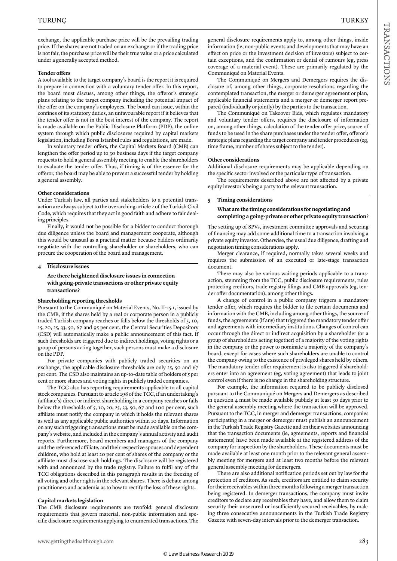exchange, the applicable purchase price will be the prevailing trading price. If the shares are not traded on an exchange or if the trading price is not fair, the purchase price will be their true value or a price calculated under a generally accepted method.

#### **Tender offers**

A tool available to the target company's board is the report it is required to prepare in connection with a voluntary tender offer. In this report, the board must discuss, among other things, the offeror's strategic plans relating to the target company including the potential impact of the offer on the company's employees. The board can issue, within the confines of its statutory duties, an unfavourable report if it believes that the tender offer is not in the best interest of the company. The report is made available on the Public Disclosure Platform (PDP), the online system through which public disclosures required by capital markets legislation, including Borsa Istanbul rules and regulations, are made.

In voluntary tender offers, the Capital Markets Board (CMB) can lengthen the offer period up to 30 business days if the target company requests to hold a general assembly meeting to enable the shareholders to evaluate the tender offer. Thus, if timing is of the essence for the offeror, the board may be able to prevent a successful tender by holding a general assembly.

#### **Other considerations**

Under Turkish law, all parties and stakeholders to a potential transaction are always subject to the overarching article 2 of the Turkish Civil Code, which requires that they act in good faith and adhere to fair dealing principles.

Finally, it would not be possible for a bidder to conduct thorough due diligence unless the board and management cooperate, although this would be unusual as a practical matter because bidders ordinarily negotiate with the controlling shareholder or shareholders, who can procure the cooperation of the board and management.

#### **4 Disclosure issues**

#### **Are there heightened disclosure issues in connection with going-private transactions or other private equity transactions?**

#### **Shareholding reporting thresholds**

Pursuant to the Communiqué on Material Events, No. II-15.1, issued by the CMB, if the shares held by a real or corporate person in a publicly traded Turkish company reaches or falls below the thresholds of 5, 10, 15, 20, 25, 33, 50, 67 and 95 per cent, the Central Securities Depository (CSD) will automatically make a public announcement of this fact. If such thresholds are triggered due to indirect holdings, voting rights or a group of persons acting together, such persons must make a disclosure on the PDP.

For private companies with publicly traded securities on an exchange, the applicable disclosure thresholds are only 25, 50 and 67 per cent. The CSD also maintains an up-to-date table of holders of 5 per cent or more shares and voting rights in publicly traded companies.

The TCC also has reporting requirements applicable to all capital stock companies. Pursuant to article 198 of the TCC, if an undertaking's (affiliate's) direct or indirect shareholding in a company reaches or falls below the thresholds of 5, 10, 20, 25, 33, 50, 67 and 100 per cent, such affiliate must notify the company in which it holds the relevant shares as well as any applicable public authorities within 10 days. Information on any such triggering transactions must be made available on the company's website, and included in the company's annual activity and audit reports. Furthermore, board members and managers of the company and the referenced affiliate, and their respective spouses and dependent children, who hold at least 20 per cent of shares of the company or the affiliate must disclose such holdings. The disclosure will be registered with and announced by the trade registry. Failure to fulfil any of the TCC obligations described in this paragraph results in the freezing of all voting and other rights in the relevant shares. There is debate among practitioners and academia as to how to rectify the loss of these rights.

#### **Capital markets legislation**

The CMB disclosure requirements are twofold: general disclosure requirements that govern material, non-public information and specific disclosure requirements applying to enumerated transactions. The general disclosure requirements apply to, among other things, inside information (ie, non-public events and developments that may have an effect on price or the investment decision of investors) subject to certain exceptions, and the confirmation or denial of rumours (eg, press coverage of a material event). These are primarily regulated by the Communiqué on Material Events.

The Communiqué on Mergers and Demergers requires the disclosure of, among other things, corporate resolutions regarding the contemplated transaction, the merger or demerger agreement or plan, applicable financial statements and a merger or demerger report prepared (individually or jointly) by the parties to the transaction.

The Communiqué on Takeover Bids, which regulates mandatory and voluntary tender offers, requires the disclosure of information on, among other things, calculation of the tender offer price, source of funds to be used in the share purchases under the tender offer, offeror's strategic plans regarding the target company and tender procedures (eg, time frame, number of shares subject to the tender).

#### **Other considerations**

Additional disclosure requirements may be applicable depending on the specific sector involved or the particular type of transaction.

The requirements described above are not affected by a private equity investor's being a party to the relevant transaction.

#### **5 Timing considerations**

#### **What are the timing considerations for negotiating and completing a going-private or other private equity transaction?**

The setting up of SPVs, investment committee approvals and securing of financing may add some additional time to a transaction involving a private equity investor. Otherwise, the usual due diligence, drafting and negotiation timing considerations apply.

Merger clearance, if required, normally takes several weeks and requires the submission of an executed or late-stage transaction document.

There may also be various waiting periods applicable to a transaction, stemming from the TCC, public disclosure requirements, rules protecting creditors, trade registry filings and CMB approvals (eg, tender offer documentation), among other things.

A change of control in a public company triggers a mandatory tender offer, which requires the bidder to file certain documents and information with the CMB, including among other things, the source of funds, the agreements (if any) that triggered the mandatory tender offer and agreements with intermediary institutions. Changes of control can occur through the direct or indirect acquisition by a shareholder (or a group of shareholders acting together) of a majority of the voting rights in the company or the power to nominate a majority of the company's board, except for cases where such shareholders are unable to control the company owing to the existence of privileged shares held by others. The mandatory tender offer requirement is also triggered if shareholders enter into an agreement (eg, voting agreement) that leads to joint control even if there is no change in the shareholding structure.

For example, the information required to be publicly disclosed pursuant to the Communiqué on Mergers and Demergers as described in question 4 must be made available publicly at least 30 days prior to the general assembly meeting where the transaction will be approved. Pursuant to the TCC, in merger and demerger transactions, companies participating in a merger or demerger must publish an announcement in the Turkish Trade Registry Gazette and on their websites announcing that the transaction documents (ie, agreements, reports and financial statements) have been made available at the registered address of the company for inspection by the shareholders. These documents must be made available at least one month prior to the relevant general assembly meeting for mergers and at least two months before the relevant general assembly meeting for demergers.

There are also additional notification periods set out by law for the protection of creditors. As such, creditors are entitled to claim security for their receivables within three months following a merger transaction being registered. In demerger transactions, the company must invite creditors to declare any receivables they have, and allow them to claim security their unsecured or insufficiently secured receivables, by making three consecutive announcements in the Turkish Trade Registry Gazette with seven-day intervals prior to the demerger transaction.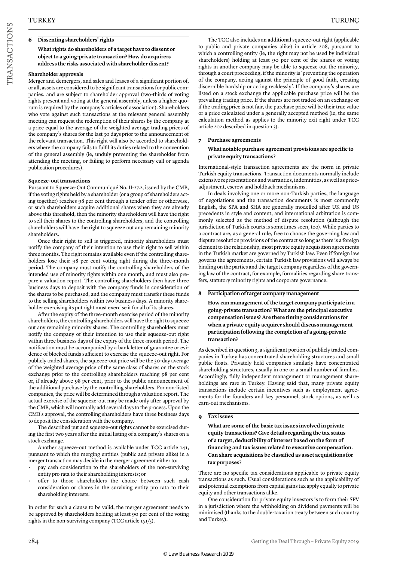#### **6 Dissenting shareholders' rights**

#### **What rights do shareholders of a target have to dissent or object to a going-private transaction? How do acquirers address the risks associated with shareholder dissent?**

#### **Shareholder approvals**

Merger and demergers, and sales and leases of a significant portion of, or all, assets are considered to be significant transactions for public companies, and are subject to shareholder approval (two-thirds of voting rights present and voting at the general assembly, unless a higher quorum is required by the company's articles of association). Shareholders who vote against such transactions at the relevant general assembly meeting can request the redemption of their shares by the company at a price equal to the average of the weighted average trading prices of the company's shares for the last 30 days prior to the announcement of the relevant transaction. This right will also be accorded to shareholders where the company fails to fulfil its duties related to the convention of the general assembly (ie, unduly preventing the shareholder from attending the meeting, or failing to perform necessary call or agenda publication procedures).

#### **Squeeze-out transactions**

Pursuant to Squeeze-Out Communiqué No. II-27.2, issued by the CMB, if the voting rights held by a shareholder (or a group of shareholders acting together) reaches 98 per cent through a tender offer or otherwise, or such shareholders acquire additional shares when they are already above this threshold, then the minority shareholders will have the right to sell their shares to the controlling shareholders, and the controlling shareholders will have the right to squeeze out any remaining minority shareholders.

Once their right to sell is triggered, minority shareholders must notify the company of their intention to use their right to sell within three months. The right remains available even if the controlling shareholders lose their 98 per cent voting right during the three-month period. The company must notify the controlling shareholders of the intended use of minority rights within one month, and must also prepare a valuation report. The controlling shareholders then have three business days to deposit with the company funds in consideration of the shares to be purchased, and the company must transfer these funds to the selling shareholders within two business days. A minority shareholder exercising its put right must exercise it for all of its shares.

After the expiry of the three-month exercise period of the minority shareholders, the controlling shareholders will have the right to squeeze out any remaining minority shares. The controlling shareholders must notify the company of their intention to use their squeeze-out right within three business days of the expiry of the three-month period. The notification must be accompanied by a bank letter of guarantee or evidence of blocked funds sufficient to exercise the squeeze-out right. For publicly traded shares, the squeeze-out price will be the 30-day average of the weighted average price of the same class of shares on the stock exchange prior to the controlling shareholders reaching 98 per cent or, if already above 98 per cent, prior to the public announcement of the additional purchase by the controlling shareholders. For non-listed companies, the price will be determined through a valuation report. The actual exercise of the squeeze-out may be made only after approval by the CMB, which will normally add several days to the process. Upon the CMB's approval, the controlling shareholders have three business days to deposit the consideration with the company.

The described put and squeeze-out rights cannot be exercised during the first two years after the initial listing of a company's shares on a stock exchange.

Another squeeze-out method is available under TCC article 141, pursuant to which the merging entities (public and private alike) in a merger transaction may decide in the merger agreement either to:

- pay cash consideration to the shareholders of the non-surviving entity pro rata to their shareholding interests; or
- offer to those shareholders the choice between such cash consideration or shares in the surviving entity pro rata to their shareholding interests.

In order for such a clause to be valid, the merger agreement needs to be approved by shareholders holding at least 90 per cent of the voting rights in the non-surviving company (TCC article 151/5).

The TCC also includes an additional squeeze-out right (applicable to public and private companies alike) in article 208, pursuant to which a controlling entity (ie, the right may not be used by individual shareholders) holding at least 90 per cent of the shares or voting rights in another company may be able to squeeze out the minority, through a court proceeding, if the minority is 'preventing the operation of the company, acting against the principle of good faith, creating discernible hardship or acting recklessly'. If the company's shares are listed on a stock exchange the applicable purchase price will be the prevailing trading price. If the shares are not traded on an exchange or if the trading price is not fair, the purchase price will be their true value or a price calculated under a generally accepted method (ie, the same calculation method as applies to the minority exit right under TCC article 202 described in question 3).

#### **7 Purchase agreements What notable purchase agreement provisions are specific to private equity transactions?**

International-style transaction agreements are the norm in private Turkish equity transactions. Transaction documents normally include extensive representations and warranties, indemnities, as well as priceadjustment, escrow and holdback mechanisms.

In deals involving one or more non-Turkish parties, the language of negotiations and the transaction documents is most commonly English, the SPA and SHA are generally modelled after UK and US precedents in style and content, and international arbitration is commonly selected as the method of dispute resolution (although the jurisdiction of Turkish courts is sometimes seen, too). While parties to a contract are, as a general rule, free to choose the governing law and dispute resolution provisions of the contract so long as there is a foreign element to the relationship, most private equity acquisition agreements in the Turkish market are governed by Turkish law. Even if foreign law governs the agreements, certain Turkish law provisions will always be binding on the parties and the target company regardless of the governing law of the contract, for example, formalities regarding share transfers, statutory minority rights and corporate governance.

#### **8 Participation of target company management**

**How can management of the target company participate in a going-private transaction? What are the principal executive compensation issues? Are there timing considerations for when a private equity acquirer should discuss management participation following the completion of a going-private transaction?**

As described in question 3, a significant portion of publicly traded companies in Turkey has concentrated shareholding structures and small public floats. Privately held companies similarly have concentrated shareholding structures, usually in one or a small number of families. Accordingly, fully independent management or management shareholdings are rare in Turkey. Having said that, many private equity transactions include certain incentives such as employment agreements for the founders and key personnel, stock options, as well as earn-out mechanisms.

#### **9 Tax issues**

**What are some of the basic tax issues involved in private equity transactions? Give details regarding the tax status of a target, deductibility of interest based on the form of financing and tax issues related to executive compensation. Can share acquisitions be classified as asset acquisitions for tax purposes?**

There are no specific tax considerations applicable to private equity transactions as such. Usual considerations such as the applicability of and potential exemptions from capital gains tax apply equally to private equity and other transactions alike.

One consideration for private equity investors is to form their SPV in a jurisdiction where the withholding on dividend payments will be minimised (thanks to the double-taxation treaty between such country and Turkey).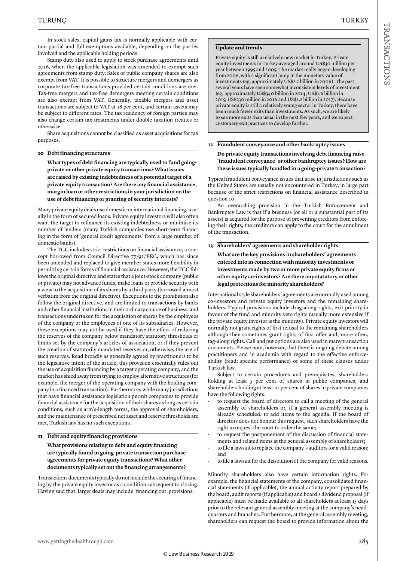Stamp duty also used to apply to stock purchase agreements until 2016, when the applicable legislation was amended to exempt such agreements from stamp duty. Sales of public company shares are also exempt from VAT. It is possible to structure mergers and demergers as corporate tax-free transactions provided certain conditions are met. Tax-free mergers and tax-free demergers meeting certain conditions are also exempt from VAT. Generally, taxable mergers and asset transactions are subject to VAT at 18 per cent, and certain assets may be subject to different rates. The tax residency of foreign parties may also change certain tax treatments under double taxation treaties or otherwise.

Share acquisitions cannot be classified as asset acquisitions for tax purposes.

#### **10 Debt financing structures**

**What types of debt financing are typically used to fund goingprivate or other private equity transactions? What issues are raised by existing indebtedness of a potential target of a private equity transaction? Are there any financial assistance, margin loan or other restrictions in your jurisdiction on the use of debt financing or granting of security interests?**

Many private equity deals use domestic or international financing, usually in the form of secured loans. Private equity investors will also often want the target to refinance its existing indebtedness or minimise its number of lenders (many Turkish companies use short-term financing in the form of 'general credit agreements' from a large number of domestic banks).

The TCC includes strict restrictions on financial assistance, a concept borrowed from Council Directive 77/91/EEC, which has since been amended and replaced to give member states more flexibility in permitting certain forms of financial assistance. However, the TCC follows the original directive and states that a joint-stock company (public or private) may not advance funds, make loans or provide security with a view to the acquisition of its shares by a third party (borrowed almost verbatim from the original directive). Exceptions to the prohibition also follow the original directive, and are limited to transactions by banks and other financial institutions in their ordinary course of business, and transactions undertaken for the acquisition of shares by the employees of the company or the employees of one of its subsidiaries. However, these exceptions may not be used if they have the effect of reducing the reserves of the company below mandatory statutory thresholds or limits set by the company's articles of association, or if they prevent the creation of statutorily mandated reserves or, otherwise, the use of such reserves. Read broadly as generally agreed by practitioners to be the legislative intent of the article, this provision essentially rules out the use of acquisition financing by a target operating company, and the market has shied away from trying to employ alternative structures (for example, the merger of the operating company with the holding company in a financed transaction). Furthermore, while many jurisdictions that have financial assistance legislation permit companies to provide financial assistance for the acquisition of their shares as long as certain conditions, such as arm's-length terms, the approval of shareholders, and the maintenance of prescribed net asset and reserve thresholds are met, Turkish law has no such exceptions.

#### **11 Debt and equity financing provisions**

#### **What provisions relating to debt and equity financing are typically found in going-private transaction purchase agreements for private equity transactions? What other documents typically set out the financing arrangements?**

Transactions documents typically do not include the securing of financing by the private equity investor as a condition subsequent to closing. Having said that, larger deals may include 'financing out' provisions.

#### **Update and trends**

Private equity is still a relatively new market in Turkey. Private equity investments in Turkey averaged around US\$30 million per year between 1995 and 2005. The market really began developing from 2006, with a significant jump in the monetary value of investments (eg, approximately US\$2.2 billion in 2006). The past several years have seen somewhat inconsistent levels of investment (eg, approximately US\$340 billion in 2014, US\$1.6 billion in 2015, US\$330 million in 2016 and US\$1.2 billion in 2017). Because private equity is still a relatively young sector in Turkey, there have been much fewer exits than investments. As such, we are likely to see more exits than usual in the next few years, and we expect customary exit practices to develop further.

#### **12 Fraudulent conveyance and other bankruptcy issues Do private equity transactions involving debt financing raise**

**'fraudulent conveyance' or other bankruptcy issues? How are these issues typically handled in a going-private transaction?**

Typical fraudulent conveyance issues that arise in jurisdictions such as the United States are usually not encountered in Turkey, in large part because of the strict restrictions on financial assistance described in question 10.

An overarching provision in the Turkish Enforcement and Bankruptcy Law is that if a business (or all or a substantial part of its assets) is acquired for the purpose of preventing creditors from enforcing their rights, the creditors can apply to the court for the annulment of the transaction.

#### **13 Shareholders' agreements and shareholder rights**

**What are the key provisions in shareholders' agreements entered into in connection with minority investments or investments made by two or more private equity firms or other equity co-investors? Are there any statutory or other legal protections for minority shareholders?**

International style shareholders' agreements are normally used among co-investors and private equity investors and the remaining shareholders. Typical provisions include drag-along rights, exit priority in favour of the fund and minority veto rights (usually more extensive if the private equity investor is the minority). Private equity investors will normally not grant rights of first refusal to the remaining shareholders although they sometimes grant rights of first offer and, more often, tag-along rights. Call and put options are also used in many transaction documents. Please note, however, that there is ongoing debate among practitioners and in academia with regard to the effective enforceability (read: specific performance) of some of these clauses under Turkish law.

Subject to certain procedures and prerequisites, shareholders holding at least 5 per cent of shares in public companies, and shareholders holding at least 10 per cent of shares in private companies have the following rights:

- to request the board of directors to call a meeting of the general assembly of shareholders or, if a general assembly meeting is already scheduled, to add items to the agenda. If the board of directors does not honour this request, such shareholders have the right to request the court to order the same;
- to request the postponement of the discussion of financial statements and related items at the general assembly of shareholders;
- to file a lawsuit to replace the company's auditors for a valid reason; and
- to file a lawsuit for the dissolution of the company for valid reasons.

Minority shareholders also have certain information rights. For example, the financial statements of the company, consolidated financial statements (if applicable), the annual activity report prepared by the board, audit reports (if applicable) and board's dividend proposal (if applicable) must be made available to all shareholders at least 15 days prior to the relevant general assembly meeting at the company's headquarters and branches. Furthermore, at the general assembly meeting, shareholders can request the board to provide information about the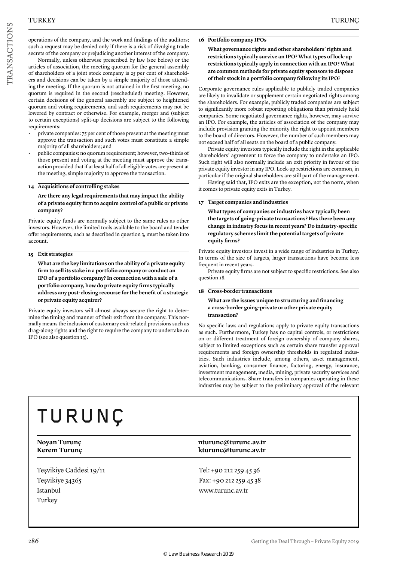operations of the company, and the work and findings of the auditors; such a request may be denied only if there is a risk of divulging trade secrets of the company or prejudicing another interest of the company.

Normally, unless otherwise prescribed by law (see below) or the articles of association, the meeting quorum for the general assembly of shareholders of a joint stock company is 25 per cent of shareholders and decisions can be taken by a simple majority of those attending the meeting. If the quorum is not attained in the first meeting, no quorum is required in the second (rescheduled) meeting. However, certain decisions of the general assembly are subject to heightened quorum and voting requirements, and such requirements may not be lowered by contract or otherwise. For example, merger and (subject to certain exceptions) split-up decisions are subject to the following requirements:

- private companies: 75 per cent of those present at the meeting must approve the transaction and such votes must constitute a simple majority of all shareholders; and
- public companies: no quorum requirement; however, two-thirds of those present and voting at the meeting must approve the transaction provided that if at least half of all eligible votes are present at the meeting, simple majority to approve the transaction.

#### **14 Acquisitions of controlling stakes**

#### **Are there any legal requirements that may impact the ability of a private equity firm to acquire control of a public or private company?**

Private equity funds are normally subject to the same rules as other investors. However, the limited tools available to the board and tender offer requirements, each as described in question 3, must be taken into account.

#### **15 Exit strategies**

**What are the key limitations on the ability of a private equity firm to sell its stake in a portfolio company or conduct an IPO of a portfolio company? In connection with a sale of a portfolio company, how do private equity firms typically address any post-closing recourse for the benefit of a strategic or private equity acquirer?**

Private equity investors will almost always secure the right to determine the timing and manner of their exit from the company. This normally means the inclusion of customary exit-related provisions such as drag-along rights and the right to require the company to undertake an IPO (see also question 13).

#### **16 Portfolio company IPOs**

**What governance rights and other shareholders' rights and restrictions typically survive an IPO? What types of lock-up restrictions typically apply in connection with an IPO? What are common methods for private equity sponsors to dispose of their stock in a portfolio company following its IPO?**

Corporate governance rules applicable to publicly traded companies are likely to invalidate or supplement certain negotiated rights among the shareholders. For example, publicly traded companies are subject to significantly more robust reporting obligations than privately held companies. Some negotiated governance rights, however, may survive an IPO. For example, the articles of association of the company may include provision granting the minority the right to appoint members to the board of directors. However, the number of such members may not exceed half of all seats on the board of a public company.

Private equity investors typically include the right in the applicable shareholders' agreement to force the company to undertake an IPO. Such right will also normally include an exit priority in favour of the private equity investor in any IPO. Lock-up restrictions are common, in particular if the original shareholders are still part of the management.

Having said that, IPO exits are the exception, not the norm, when it comes to private equity exits in Turkey.

#### **17 Target companies and industries**

**What types of companies or industries have typically been the targets of going-private transactions? Has there been any change in industry focus in recent years? Do industry-specific regulatory schemes limit the potential targets of private equity firms?**

Private equity investors invest in a wide range of industries in Turkey. In terms of the size of targets, larger transactions have become less frequent in recent years.

Private equity firms are not subject to specific restrictions. See also question 18.

#### **18 Cross-border transactions**

#### **What are the issues unique to structuring and financing a cross-border going-private or other private equity transaction?**

No specific laws and regulations apply to private equity transactions as such. Furthermore, Turkey has no capital controls, or restrictions on or different treatment of foreign ownership of company shares, subject to limited exceptions such as certain share transfer approval requirements and foreign ownership thresholds in regulated industries. Such industries include, among others, asset management, aviation, banking, consumer finance, factoring, energy, insurance, investment management, media, mining, private security services and telecommunications. Share transfers in companies operating in these industries may be subject to the preliminary approval of the relevant

### TURUNÇ

Teşvikiye Caddesi 19/11 Teşvikiye 34365 Istanbul Turkey

#### **Noyan Turunç nturunc@turunc.av.tr Kerem Turunç kturunc@turunc.av.tr**

Tel: +90 212 259 45 36 Fax: +90 212 259 45 38 www.turunc.av.tr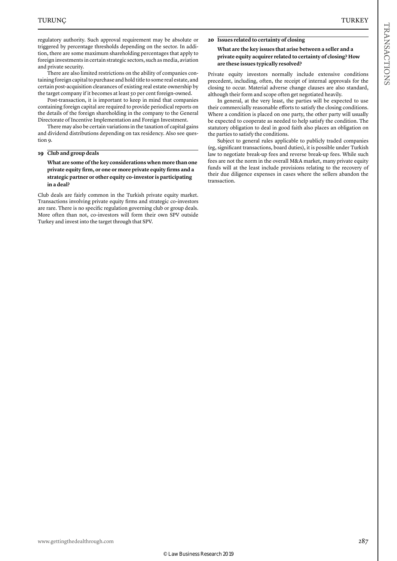There are also limited restrictions on the ability of companies containing foreign capital to purchase and hold title to some real estate, and certain post-acquisition clearances of existing real estate ownership by the target company if it becomes at least 50 per cent foreign-owned.

Post-transaction, it is important to keep in mind that companies containing foreign capital are required to provide periodical reports on the details of the foreign shareholding in the company to the General Directorate of Incentive Implementation and Foreign Investment.

There may also be certain variations in the taxation of capital gains and dividend distributions depending on tax residency. Also see question 9.

#### **19 Club and group deals**

**What are some of the key considerations when more than one private equity firm, or one or more private equity firms and a strategic partner or other equity co-investor is participating in a deal?**

Club deals are fairly common in the Turkish private equity market. Transactions involving private equity firms and strategic co-investors are rare. There is no specific regulation governing club or group deals. More often than not, co-investors will form their own SPV outside Turkey and invest into the target through that SPV.

#### **20 Issues related to certainty of closing**

#### **What are the key issues that arise between a seller and a private equity acquirer related to certainty of closing? How are these issues typically resolved?**

Private equity investors normally include extensive conditions precedent, including, often, the receipt of internal approvals for the closing to occur. Material adverse change clauses are also standard, although their form and scope often get negotiated heavily.

In general, at the very least, the parties will be expected to use their commercially reasonable efforts to satisfy the closing conditions. Where a condition is placed on one party, the other party will usually be expected to cooperate as needed to help satisfy the condition. The statutory obligation to deal in good faith also places an obligation on the parties to satisfy the conditions.

Subject to general rules applicable to publicly traded companies (eg, significant transactions, board duties), it is possible under Turkish law to negotiate break-up fees and reverse break-up fees. While such fees are not the norm in the overall M&A market, many private equity funds will at the least include provisions relating to the recovery of their due diligence expenses in cases where the sellers abandon the transaction.